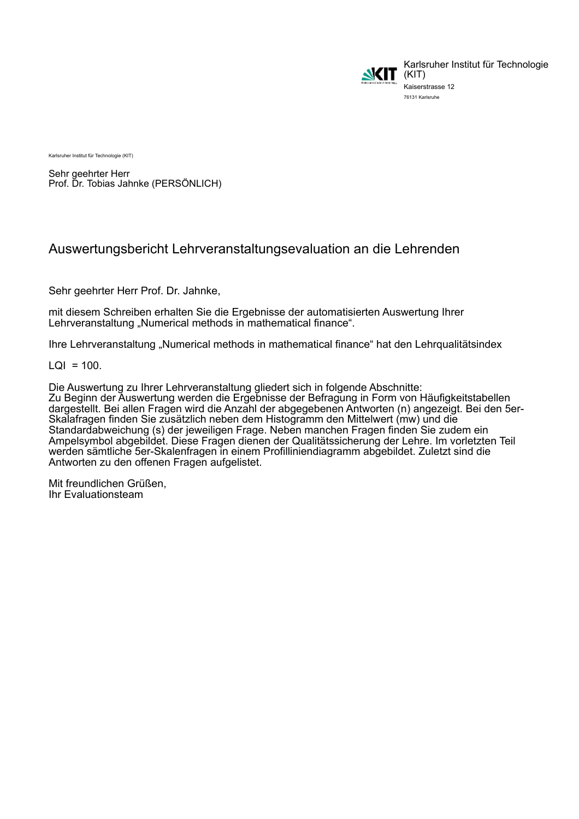

Karlsruher Institut für Technologie Kaiserstrasse 12 76131 Karlsruhe

Karlsruher Institut für Technologie (KIT)

Sehr geehrter Herr Prof. Dr. Tobias Jahnke (PERSÖNLICH)

## Auswertungsbericht Lehrveranstaltungsevaluation an die Lehrenden

Sehr geehrter Herr Prof. Dr. Jahnke,

mit diesem Schreiben erhalten Sie die Ergebnisse der automatisierten Auswertung Ihrer Lehrveranstaltung "Numerical methods in mathematical finance".

Ihre Lehrveranstaltung "Numerical methods in mathematical finance" hat den Lehrqualitätsindex

 $LQI = 100$ .

Die Auswertung zu Ihrer Lehrveranstaltung gliedert sich in folgende Abschnitte: Zu Beginn der Auswertung werden die Ergebnisse der Befragung in Form von Häufigkeitstabellen dargestellt. Bei allen Fragen wird die Anzahl der abgegebenen Antworten (n) angezeigt. Bei den 5er-Skalafragen finden Sie zusätzlich neben dem Histogramm den Mittelwert (mw) und die Standardabweichung (s) der jeweiligen Frage. Neben manchen Fragen finden Sie zudem ein Ampelsymbol abgebildet. Diese Fragen dienen der Qualitätssicherung der Lehre. Im vorletzten Teil werden sämtliche 5er-Skalenfragen in einem Profilliniendiagramm abgebildet. Zuletzt sind die Antworten zu den offenen Fragen aufgelistet.

Mit freundlichen Grüßen, Ihr Evaluationsteam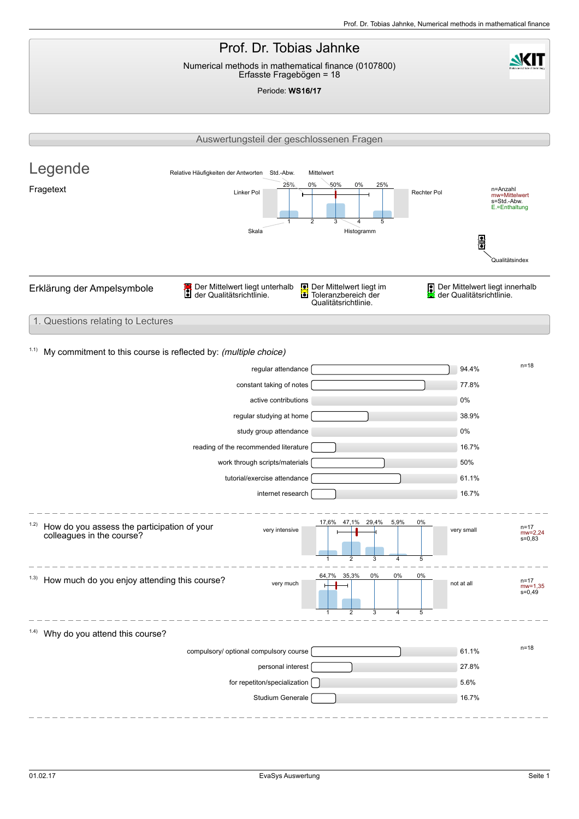### Prof. Dr. Tobias Jahnke **NKIT** Numerical methods in mathematical finance (0107800) Erfasste Fragebögen = 18 Periode: WS16/17 Auswertungsteil der geschlossenen Fragen Legende Relative Häufigkeiten der Antworten Std.-Abw. Mittelwert  $25%$ 0% 50% 0% 25% Eragetext and the content of the content of the content of the content of the content of the content of the content of the content of the content of the content of the content of the content of the content of the content o mw=Mittelwert s=Std.-Abw. E.=Enthaltung 1  $\overline{2}$ 3 4 5 Skala Histogramm F Qualitätsindex Erklärung der Ampelsymbole **Der Mittelwert liegt unterhalb**<br>Der Qualitätsrichtlinie.  $\overline{\Omega}$ Der Mittelwert liegt im Der Mittelwert liegt innerhalb g der Qualitätsrichtlinie. Toleranzbereich der der Qualitätsrichtlinie. 蘅 Qualitätsrichtlinie. 1. Questions relating to Lectures 1.1) My commitment to this course is reflected by: (multiple choice) n=18 regular attendance n=18 regular attendance constant taking of notes **177.8%** active contributions 0% regular studying at home 38.9% study group attendance 0% reading of the recommended literature 16.7% work through scripts/materials [Second Library control of the second state of the second state of the second state of the second state of the second state of the second state of the second state of the second state of the tutorial/exercise attendance **61.1%** 61.1% internet research 16.7% 47,1% 29,4% 5,9% 0% 17,6% 1.2) How do you assess the participation of your very intensive  $n=17$ <br>
wery small  $n=17$ colleagues in the course? mw=2,24 s=0,83 3  $\overline{5}$ 1 2 4 64,7% 35,3% 0% 0% 0%  $1.3)$  How much do you enjoy attending this course? very much  $n=17$  not at all  $n=17$ mw=1,35 s=0,49  $\mathcal{L}$ 5 1 3 4  $1.4$ ) Why do you attend this course? compulsory/ optional compulsory course **61.1%** and 61.1% personal interest and the contract of the contract of the contract of the contract of the contract of the contract of the contract of the contract of the contract of the contract of the contract of the contract of the cont for repetiton/specialization  $\bigcap$ Studium Generale 2008 and 2009 and 2009 and 2009 and 2009 and 2009 and 2009 and 2009 and 2009 and 2009 and 200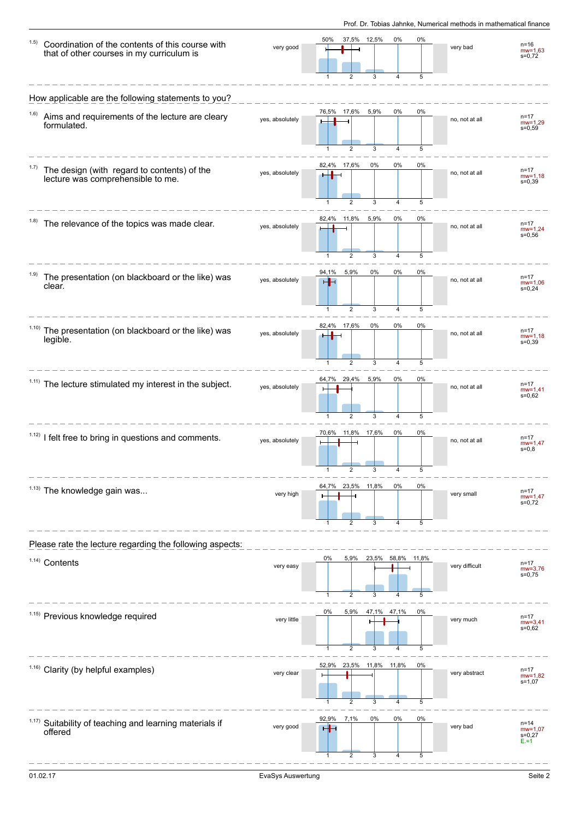| 1.5)  | Coordination of the contents of this course with<br>that of other courses in my curriculum is | very good       | 50%                   | 2                                | 37,5% 12,5%<br>3            | 0%             | 0%<br>5      | very bad       | $n = 16$<br>$mw = 1,63$<br>$s=0,72$              |
|-------|-----------------------------------------------------------------------------------------------|-----------------|-----------------------|----------------------------------|-----------------------------|----------------|--------------|----------------|--------------------------------------------------|
|       | How applicable are the following statements to you?                                           |                 |                       |                                  |                             |                |              |                |                                                  |
| 1.6)  | Aims and requirements of the lecture are cleary<br>formulated.                                | yes, absolutely | 76,5%                 | 17,6%<br>2                       | 5,9%<br>3                   | 0%<br>4        | 0%<br>5      | no, not at all | $n = 17$<br>$mw = 1,29$<br>$s = 0,59$            |
|       | The design (with regard to contents) of the<br>lecture was comprehensible to me.              | yes, absolutely |                       | 82,4% 17,6%<br>$\overline{2}$    | 0%<br>3                     | 0%<br>4        | 0%<br>5      | no, not at all | $n = 17$<br>$mw = 1,18$<br>$s = 0,39$            |
|       | The relevance of the topics was made clear.                                                   | yes, absolutely | 82,4%                 | 11,8%<br>$\overline{2}$          | 5,9%<br>3                   | 0%<br>4        | 0%<br>5      | no, not at all | $n = 17$<br>$mw = 1,24$<br>$s = 0.56$            |
| (1.9) | The presentation (on blackboard or the like) was<br>clear.                                    | yes, absolutely | 94,1%<br>⊣⊢<br>1      | 5,9%<br>$\overline{2}$           | 0%<br>3                     | 0%<br>4        | 0%<br>5      | no, not at all | $n = 17$<br>$mw=1,06$<br>$s = 0.24$              |
| 1.10) | The presentation (on blackboard or the like) was<br>legible.                                  | yes, absolutely |                       | 82,4% 17,6%<br>$\overline{2}$    | 0%<br>3                     | 0%<br>4        | 0%<br>5      | no, not at all | $n = 17$<br>$mw = 1,18$<br>$s = 0,39$            |
| 1.11) | The lecture stimulated my interest in the subject.                                            | yes, absolutely | 64,7%<br>1            | 29,4%<br>$\overline{2}$          | 5,9%<br>3                   | 0%<br>4        | 0%<br>5      | no, not at all | $n = 17$<br>$mw = 1,41$<br>$s = 0.62$            |
|       | <sup>1.12)</sup> I felt free to bring in questions and comments.                              | yes, absolutely | 70,6%                 |                                  | 11,8% 17,6%                 | 0%             | 0%           | no, not at all | $n = 17$<br>$mw = 1,47$<br>$s = 0,8$             |
|       | $1.13$ ) The knowledge gain was                                                               | very high       | 64,7%                 |                                  | 23,5% 11,8%<br>3            | 0%             | 0%<br>5      | very small     | $n = 17$<br>$mw = 1,47$<br>$s=0,72$              |
|       | Please rate the lecture regarding the following aspects:                                      |                 |                       |                                  |                             |                |              |                |                                                  |
|       | 1.14) Contents                                                                                | very easy       | 0%<br>$\mathbf{1}$    | 5,9%<br>$\overline{2}$           | 23,5%<br>3                  | 58,8%<br>4     | 11,8%<br>5   | very difficult | n=17<br>$mv = 3,76$<br>s=0,75                    |
|       | 1.15) Previous knowledge required                                                             | very little     | 0%                    | 5,9%                             |                             | 47,1% 47,1%    | 0%           | very much      | $n = 17$<br>$mw = 3,41$<br>$s = 0,62$            |
|       | $1.16$ ) Clarity (by helpful examples)                                                        | very clear      | $\mathbf{1}$<br>52,9% | $\overline{2}$<br>$\overline{2}$ | 3<br>23,5% 11,8% 11,8%<br>3 | $\overline{4}$ | 5<br>0%<br>5 | very abstract  | $n = 17$<br>$mw=1,82$<br>$s = 1,07$              |
| 1.17) | Suitability of teaching and learning materials if<br>offered                                  | very good       | 92,9%                 | 7,1%<br>$\overline{2}$           | 0%<br>3                     | 0%<br>4        | 0%<br>5      | very bad       | $n = 14$<br>$mw = 1,07$<br>$s = 0,27$<br>$E = 1$ |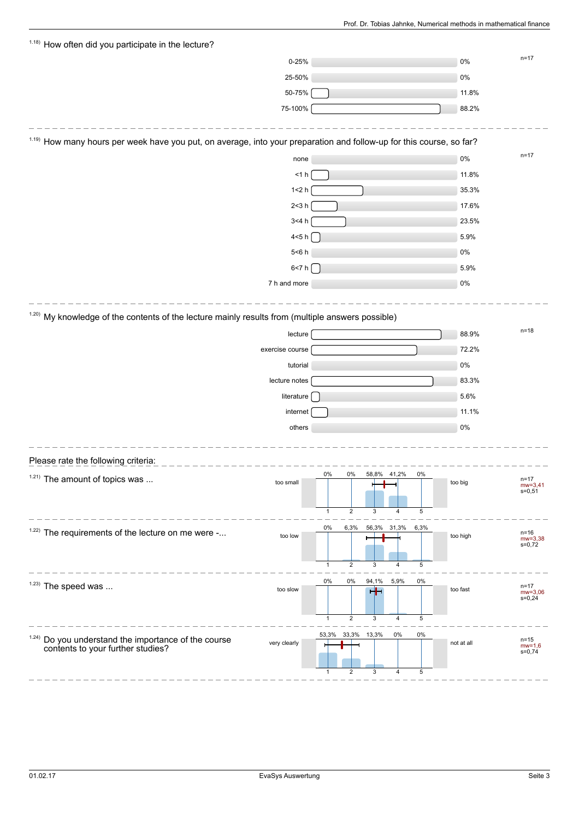| <sup>1.18)</sup> How often did you participate in the lecture?                                                                  |                 |       |                         |             |      |      |            |                         |
|---------------------------------------------------------------------------------------------------------------------------------|-----------------|-------|-------------------------|-------------|------|------|------------|-------------------------|
|                                                                                                                                 | $0 - 25%$       |       |                         |             |      |      | 0%         | $n = 17$                |
|                                                                                                                                 | 25-50%          |       |                         |             |      |      | $0\%$      |                         |
|                                                                                                                                 | 50-75%          |       |                         |             |      |      | 11.8%      |                         |
|                                                                                                                                 | 75-100%         |       |                         |             |      |      | 88.2%      |                         |
|                                                                                                                                 |                 |       |                         |             |      |      |            |                         |
| <sup>1.19)</sup> How many hours per week have you put, on average, into your preparation and follow-up for this course, so far? |                 |       |                         |             |      |      |            |                         |
|                                                                                                                                 | none            |       |                         |             |      |      | $0\%$      | $n = 17$                |
|                                                                                                                                 | $<$ 1 $h$       |       |                         |             |      |      | 11.8%      |                         |
|                                                                                                                                 | 1 < 2 h         |       |                         |             |      |      | 35.3%      |                         |
|                                                                                                                                 | 2<3h            |       |                         |             |      |      | 17.6%      |                         |
|                                                                                                                                 | 3<4 h           |       |                         |             |      |      | 23.5%      |                         |
|                                                                                                                                 | 4<5 h $\left[$  |       |                         |             |      |      | 5.9%       |                         |
|                                                                                                                                 | $5<6$ h         |       |                         |             |      |      | $0\%$      |                         |
|                                                                                                                                 | 6 < 7 h         |       |                         |             |      |      | 5.9%       |                         |
|                                                                                                                                 | 7 h and more    |       |                         |             |      |      | 0%         |                         |
|                                                                                                                                 |                 |       |                         |             |      |      |            |                         |
| $120$ My knowledge of the contents of the lecture mainly results from (multiple answers possible)                               |                 |       |                         |             |      |      |            |                         |
|                                                                                                                                 | lecture         |       |                         |             |      |      | 88.9%      | $n = 18$                |
|                                                                                                                                 | exercise course |       |                         |             |      |      | 72.2%      |                         |
|                                                                                                                                 | tutorial        |       |                         |             |      |      | $0\%$      |                         |
|                                                                                                                                 | lecture notes   |       |                         |             |      |      | 83.3%      |                         |
|                                                                                                                                 | literature      |       |                         |             |      |      | 5.6%       |                         |
|                                                                                                                                 | internet        |       |                         |             |      |      | 11.1%      |                         |
|                                                                                                                                 |                 |       |                         |             |      |      | $0\%$      |                         |
|                                                                                                                                 | others          |       |                         |             |      |      |            |                         |
|                                                                                                                                 |                 |       |                         |             |      |      |            |                         |
| Please rate the following criteria:                                                                                             |                 |       |                         |             |      |      |            |                         |
| $1.21$ ) The amount of topics was                                                                                               | too small       | 0%    | 0%                      | 58,8% 41,2% |      | 0%   | too big    | $n = 17$<br>$mw = 3,41$ |
|                                                                                                                                 |                 |       |                         |             |      |      |            | $s = 0,51$              |
|                                                                                                                                 |                 | 1     | $\overline{2}$          | 3           | 4    | 5    |            |                         |
| $1.22$ ) The requirements of the lecture on me were -                                                                           | too low         | 0%    | 6,3%                    | 56,3% 31,3% |      | 6,3% |            | $n=16$                  |
|                                                                                                                                 |                 |       |                         |             |      |      | too high   | $mw = 3,38$<br>$s=0,72$ |
|                                                                                                                                 |                 | 1     | $\overline{2}$          | 3           | 4    | 5    |            |                         |
|                                                                                                                                 |                 | 0%    | 0%                      |             |      | 0%   |            |                         |
| $1.23)$ The speed was                                                                                                           | too slow        |       |                         | 94,1%<br>╅┪ | 5,9% |      | too fast   | n=17<br>$mw=3,06$       |
|                                                                                                                                 |                 |       |                         |             |      |      |            | $s = 0,24$              |
|                                                                                                                                 |                 | 1     | $\overline{\mathbf{c}}$ | 3           | 4    | 5    |            |                         |
|                                                                                                                                 |                 | 53,3% | 33,3%                   | 13,3%       | 0%   | 0%   |            | $n = 15$                |
| $124$ ) Do you understand the importance of the course contents to your further studies?                                        | very clearly    |       |                         |             |      |      | not at all | $mw=1,6$<br>$s=0,74$    |
|                                                                                                                                 |                 | 1     | $\overline{2}$          | 3           | 4    | 5    |            |                         |
|                                                                                                                                 |                 |       |                         |             |      |      |            |                         |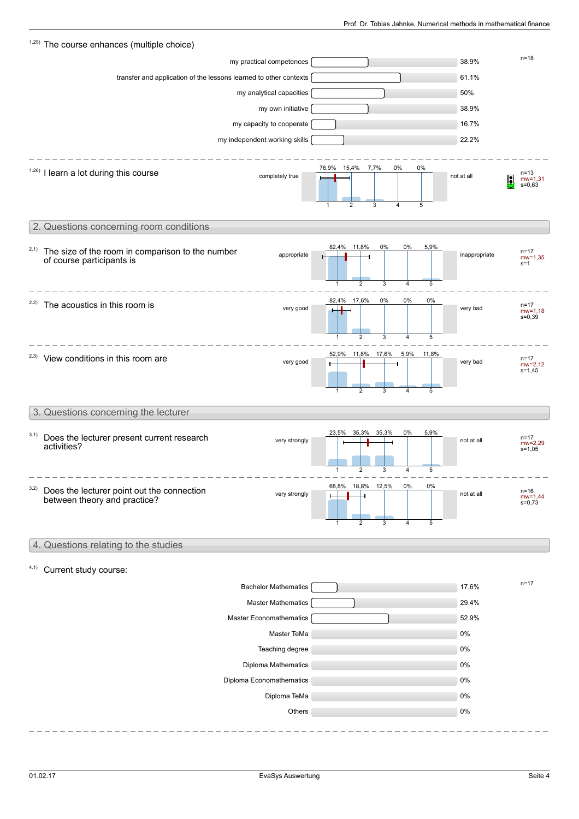|      | 1.25) The course enhances (multiple choice)                                                  |                                                                                                    |                                                          |  |
|------|----------------------------------------------------------------------------------------------|----------------------------------------------------------------------------------------------------|----------------------------------------------------------|--|
|      | my practical competences                                                                     |                                                                                                    | $n = 18$<br>38.9%                                        |  |
|      | transfer and application of the lessons learned to other contexts                            |                                                                                                    | 61.1%                                                    |  |
|      | my analytical capacities                                                                     |                                                                                                    | 50%                                                      |  |
|      | my own initiative                                                                            |                                                                                                    | 38.9%                                                    |  |
|      | my capacity to cooperate                                                                     |                                                                                                    | 16.7%                                                    |  |
|      | my independent working skills                                                                |                                                                                                    | 22.2%                                                    |  |
|      | $1.26$ ) I learn a lot during this course<br>completely true                                 | 76,9% 15,4% 7,7%<br>$0\%$<br>0%<br>$\overline{2}$<br>5<br>3<br>$\overline{\mathbf{4}}$             | $n = 13$<br>not at all<br>Ŀ<br>$mw = 1,31$<br>$s = 0,63$ |  |
|      | 2. Questions concerning room conditions                                                      |                                                                                                    |                                                          |  |
| 2.1) | The size of the room in comparison to the number<br>appropriate<br>of course participants is | 82,4%<br>11,8%<br>0%<br>0%<br>5,9%<br>$\overline{2}$<br>5<br>$\mathbf{1}$<br>3<br>4                | $n = 17$<br>inappropriate<br>$mw = 1,35$<br>$s = 1$      |  |
| 2.2) | The acoustics in this room is<br>very good                                                   | 82,4% 17,6%<br>0%<br>0%<br>0%<br>$\overline{2}$<br>3<br>5<br>1<br>4                                | $n = 17$<br>very bad<br>$mw = 1,18$<br>$s = 0,39$        |  |
|      | <sup>2.3)</sup> View conditions in this room are<br>very good                                | 52,9%<br>11,8% 17,6%<br>5,9%<br>11,8%<br>$\overline{4}$<br>5<br>$\mathbf 1$<br>$\overline{2}$<br>3 | $n = 17$<br>very bad<br>$mw = 2,12$<br>$s = 1,45$        |  |
|      | 3. Questions concerning the lecturer                                                         |                                                                                                    |                                                          |  |
| 3.1) | Does the lecturer present current research<br>very strongly<br>activities?                   | 23,5%<br>35,3%<br>0%<br>5,9%<br>35,3%<br>2<br>3<br>4<br>5<br>1                                     | $n = 17$<br>not at all<br>$mw = 2,29$<br>$s = 1,05$      |  |
| 3.2) | Does the lecturer point out the connection<br>very strongly<br>between theory and practice?  | 18,8% 12,5%<br>68,8%<br>0%<br>0%<br>$\overline{2}$<br>5<br>4<br>3<br>1                             | $n = 16$<br>not at all<br>$mw = 1,44$<br>$s=0,73$        |  |
|      | 4. Questions relating to the studies                                                         |                                                                                                    |                                                          |  |
| 4.1) | Current study course:                                                                        |                                                                                                    |                                                          |  |
|      |                                                                                              |                                                                                                    | $n = 17$                                                 |  |
|      | <b>Bachelor Mathematics</b><br><b>Master Mathematics</b>                                     |                                                                                                    | 17.6%<br>29.4%                                           |  |
|      | Master Economathematics                                                                      |                                                                                                    | 52.9%                                                    |  |
|      | Master TeMa                                                                                  |                                                                                                    | $0\%$                                                    |  |
|      | Teaching degree                                                                              |                                                                                                    | 0%                                                       |  |
|      | Diploma Mathematics                                                                          |                                                                                                    | 0%                                                       |  |
|      | Diploma Economathematics                                                                     |                                                                                                    | 0%                                                       |  |
|      | Diploma TeMa                                                                                 |                                                                                                    | 0%                                                       |  |
|      | Others                                                                                       |                                                                                                    | 0%                                                       |  |
|      |                                                                                              |                                                                                                    |                                                          |  |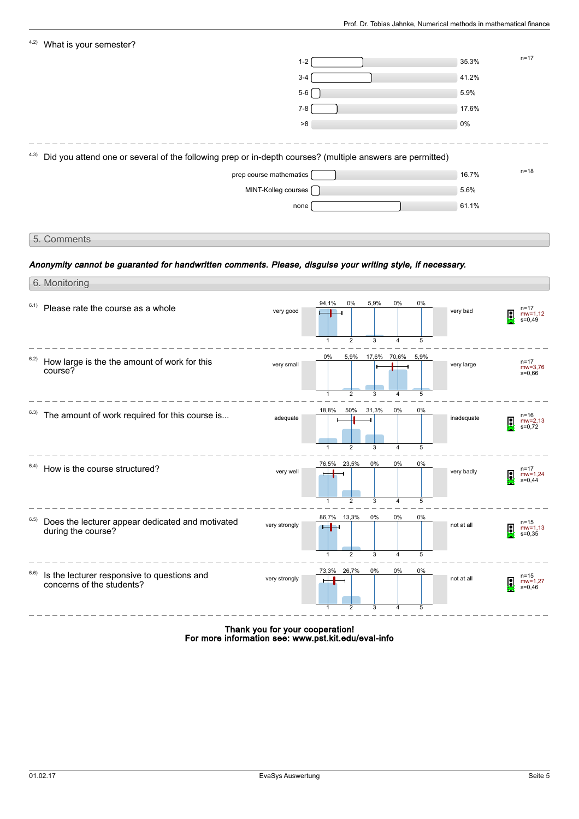| 4.2)<br>What is your semester?                                                                                    |                         |                                |                     |      |            |                                                  |
|-------------------------------------------------------------------------------------------------------------------|-------------------------|--------------------------------|---------------------|------|------------|--------------------------------------------------|
|                                                                                                                   | $1 - 2$                 |                                |                     |      | 35.3%      | $n = 17$                                         |
|                                                                                                                   | $3 - 4$                 |                                |                     |      | 41.2%      |                                                  |
|                                                                                                                   | $5-6$                   |                                |                     |      | 5.9%       |                                                  |
|                                                                                                                   | $7 - 8$                 |                                |                     |      | 17.6%      |                                                  |
|                                                                                                                   | >8                      |                                |                     |      | 0%         |                                                  |
| Did you attend one or several of the following prep or in-depth courses? (multiple answers are permitted)<br>4.3) |                         |                                |                     |      |            |                                                  |
|                                                                                                                   | prep course mathematics |                                |                     |      | 16.7%      | $n = 18$                                         |
|                                                                                                                   | MINT-Kolleg courses     |                                |                     |      | 5.6%       |                                                  |
|                                                                                                                   | none                    |                                |                     |      | 61.1%      |                                                  |
|                                                                                                                   |                         |                                |                     |      |            |                                                  |
| 5. Comments                                                                                                       |                         |                                |                     |      |            |                                                  |
|                                                                                                                   |                         |                                |                     |      |            |                                                  |
| Anonymity cannot be guaranted for handwritten comments. Please, disguise your writing style, if necessary.        |                         |                                |                     |      |            |                                                  |
| 6. Monitoring                                                                                                     |                         |                                |                     |      |            |                                                  |
| 6.1)<br>Please rate the course as a whole                                                                         | very good               | 0%<br>94,1%                    | 5,9%<br>0%          | 0%   | very bad   | n=17<br>g<br>$mw=1,12$<br>$s=0,49$               |
|                                                                                                                   |                         | $\overline{2}$<br>1            | 3<br>4              | 5    |            |                                                  |
| 6.2)<br>How large is the the amount of work for this<br>course?                                                   | very small              | 5,9%<br>0%                     | 17,6%<br>70,6%      | 5,9% | very large | $n = 17$<br>$mw=3,76$<br>$s = 0,66$              |
|                                                                                                                   |                         | $\mathbf{1}$<br>$\overline{2}$ | 3<br>$\overline{4}$ | 5    |            |                                                  |
| The amount of work required for this course is<br>6.3)                                                            | adequate                | 50%<br>18,8%                   | 31,3%<br>0%         | 0%   | inadequate | n=16<br>$mw = 2,13$<br>$s=0,72$                  |
|                                                                                                                   |                         | $\overline{2}$<br>1            | 3<br>$\overline{4}$ | 5    |            |                                                  |
| 6.4)<br>How is the course structured?                                                                             | very well               | 76,5%<br>23,5%                 | 0%<br>0%            | 0%   | very badly | $n = 17$<br><b>EXI</b><br>mw=1,24<br>s=0,44<br>y |
|                                                                                                                   |                         | $\overline{2}$<br>1            | 3<br>4              | 5    |            |                                                  |
| 6.5)<br>Does the lecturer appear dedicated and motivated<br>during the course?                                    | very strongly           | 86,7% 13,3%                    | 0%<br>0%            | 0%   | not at all | $n = 15$<br>Q<br>$mw = 1,13$<br>$s = 0,35$       |
|                                                                                                                   |                         | $\overline{2}$                 | 3<br>$\overline{4}$ | 5    |            |                                                  |

Is the lecturer responsive to questions and concerns of the students? 6.6) very strongly **the strongly of the strongly** not at all **q** 73,3% 1 26,7%  $\overline{2}$ 0% 3 0% 4 0% 5

> Thank you for your cooperation! For more information see: www.pst.kit.edu/eval-info

mw=1,27 s=0,46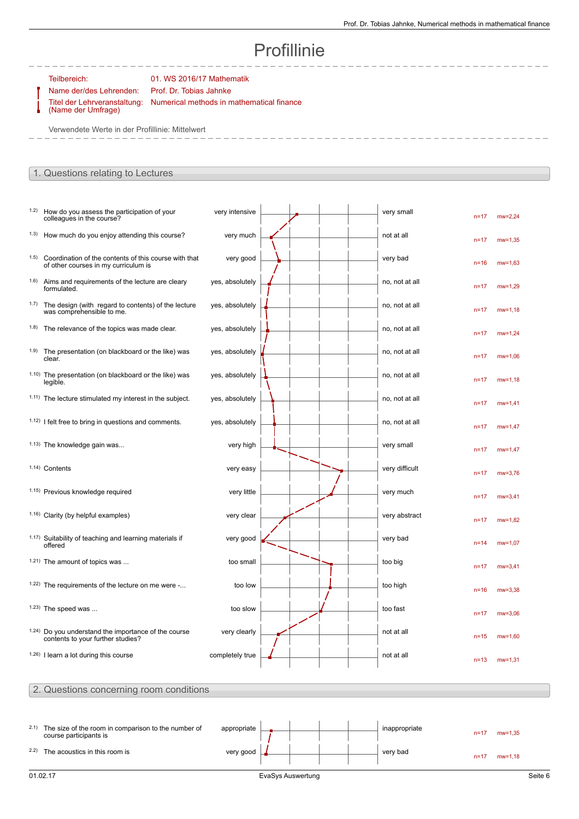# Profillinie

Teilbereich: 01. WS 2016/17 Mathematik

Titel der Lehrveranstaltung: (Name der Umfrage)

Name der/des Lehrenden: Prof. Dr. Tobias Jahnke Numerical methods in mathematical finance

Verwendete Werte in der Profillinie: Mittelwert

### 1. Questions relating to Lectures

| 1.2)  | How do you assess the participation of your<br>colleagues in the course?                             | very intensive  |  |  | very small     | $n = 17$ | $mw = 2,24$ |
|-------|------------------------------------------------------------------------------------------------------|-----------------|--|--|----------------|----------|-------------|
|       | <sup>1.3)</sup> How much do you enjoy attending this course?                                         | very much       |  |  | not at all     | $n = 17$ | $mw = 1,35$ |
| (1.5) | Coordination of the contents of this course with that<br>of other courses in my curriculum is        | very good       |  |  | very bad       | $n = 16$ | $mw = 1,63$ |
| (1.6) | Aims and requirements of the lecture are cleary<br>formulated.                                       | yes, absolutely |  |  | no, not at all | $n = 17$ | $mw = 1,29$ |
| 1.7)  | The design (with regard to contents) of the lecture<br>was comprehensible to me.                     | yes, absolutely |  |  | no, not at all | $n = 17$ | $mw = 1,18$ |
|       | 1.8) The relevance of the topics was made clear.                                                     | yes, absolutely |  |  | no, not at all | $n = 17$ | $mw = 1,24$ |
| 1.9)  | The presentation (on blackboard or the like) was<br>clear.                                           | yes, absolutely |  |  | no, not at all | $n = 17$ | $mw = 1,06$ |
|       | 1.10) The presentation (on blackboard or the like) was<br>legible.                                   | yes, absolutely |  |  | no, not at all | $n = 17$ | $mw = 1,18$ |
|       | 1.11) The lecture stimulated my interest in the subject.                                             | yes, absolutely |  |  | no, not at all | $n = 17$ | $mw = 1,41$ |
|       | $1.12$ ) I felt free to bring in questions and comments.                                             | yes, absolutely |  |  | no, not at all | $n = 17$ | $mw = 1,47$ |
|       | <sup>1.13)</sup> The knowledge gain was                                                              | very high       |  |  | very small     | $n = 17$ | $mw = 1,47$ |
|       | 1.14) Contents                                                                                       | very easy       |  |  | very difficult | $n = 17$ | $mw = 3.76$ |
|       | 1.15) Previous knowledge required                                                                    | very little     |  |  | very much      | $n = 17$ | $mw = 3,41$ |
|       | 1.16) Clarity (by helpful examples)                                                                  | very clear      |  |  | very abstract  | $n = 17$ | $mw = 1,82$ |
|       | 1.17) Suitability of teaching and learning materials if<br>offered                                   | very good       |  |  | very bad       | $n = 14$ | $mw=1,07$   |
|       | <sup>1.21</sup> ) The amount of topics was                                                           | too small       |  |  | too big        | $n = 17$ | $mw = 3,41$ |
|       | <sup>1.22)</sup> The requirements of the lecture on me were -                                        | too low         |  |  | too high       | $n = 16$ | $mw = 3,38$ |
|       | $1.23$ ) The speed was                                                                               | too slow        |  |  | too fast       | $n = 17$ | $mw = 3,06$ |
|       | <sup>1.24)</sup> Do you understand the importance of the course<br>contents to your further studies? | very clearly    |  |  | not at all     | $n = 15$ | $mw = 1,60$ |
|       | $1.26$ ) I learn a lot during this course                                                            | completely true |  |  | not at all     | $n = 13$ | $mw = 1,31$ |

### 2. Questions concerning room conditions

| 01.02.17                                                 |             | EvaSys Auswertung |  |               |          |             | Seite 6 |
|----------------------------------------------------------|-------------|-------------------|--|---------------|----------|-------------|---------|
|                                                          |             |                   |  |               | $n = 17$ | $mw = 1,18$ |         |
| <sup>2.2)</sup> The acoustics in this room is            | very good   |                   |  | very bad      |          |             |         |
| course participants is                                   |             |                   |  |               | $n = 17$ | $mw = 1.35$ |         |
| 2.1) The size of the room in comparison to the number of | appropriate |                   |  | inappropriate |          |             |         |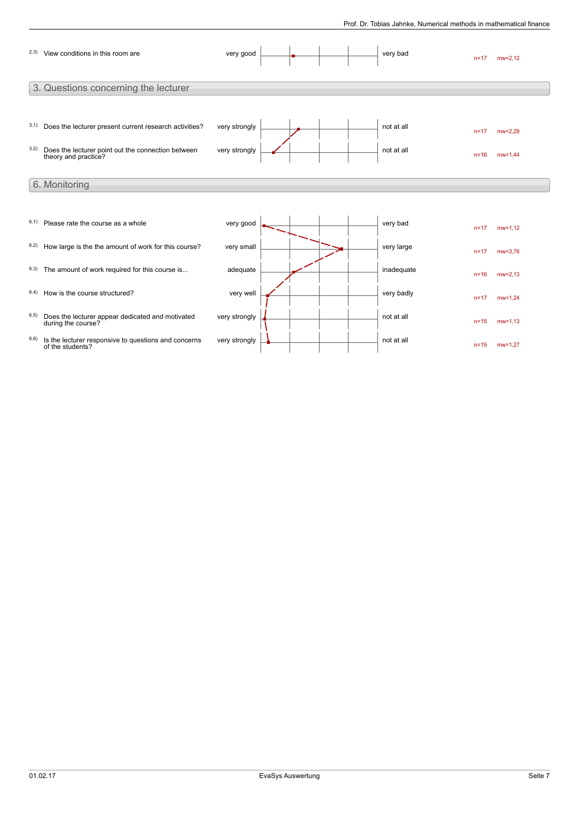|      | 2.3) View conditions in this room are                                      | very good     |  |  | very bad   | $n = 17$ | $mw = 2.12$ |
|------|----------------------------------------------------------------------------|---------------|--|--|------------|----------|-------------|
|      | 3. Questions concerning the lecturer                                       |               |  |  |            |          |             |
|      |                                                                            |               |  |  |            |          |             |
| 3.1) | Does the lecturer present current research activities?                     | very strongly |  |  | not at all | $n = 17$ | $mw = 2.29$ |
| 3.2) | Does the lecturer point out the connection between<br>theory and practice? | very strongly |  |  | not at all | $n = 16$ | $mw = 1,44$ |
|      | 6. Monitoring                                                              |               |  |  |            |          |             |
|      |                                                                            |               |  |  |            |          |             |
| 6.1) | Please rate the course as a whole                                          | very good     |  |  | very bad   | $n = 17$ | $mw = 1.12$ |
| 6.2) | How large is the the amount of work for this course?                       | very small    |  |  | very large | $n = 17$ | $mw = 3.76$ |
|      | 6.3) The amount of work required for this course is                        | adequate      |  |  | inadequate | $n = 16$ | $mw = 2,13$ |
| 6.4) | How is the course structured?                                              | very well     |  |  | very badly | $n = 17$ | $mw = 1.24$ |
| 6.5) | Does the lecturer appear dedicated and motivated<br>during the course?     | very strongly |  |  | not at all | $n = 15$ | $mw = 1.13$ |
| 6.6) | Is the lecturer responsive to questions and concerns<br>of the students?   | very strongly |  |  | not at all | $n = 15$ | $mw = 1.27$ |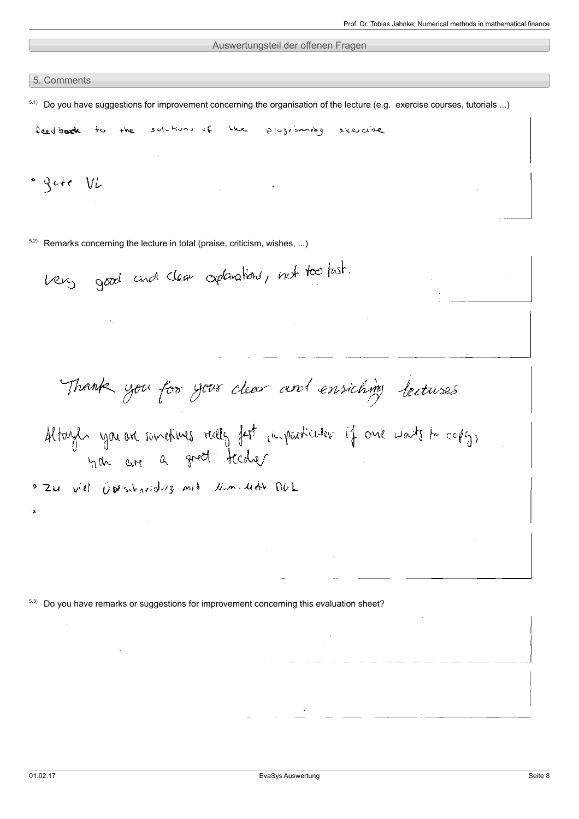### Auswertungsteil der offenen Fragen

5. Comments

 $5.1)$  Do you have suggestions for improvement concerning the organisation of the lecture (e.g. exercise courses, tutorials ...)

solutions of the plograming exercise the feedback to

 $\degree$  gote VL

 $5.2$  Remarks concerning the lecture in total (praise, criticism, wishes, ...)

very good and clear explanations, not too tast.

Thank you for your clear and ensiching lectures

Altayls you are sometimes really fast imparticular if one wants to capig,

Zu viel Operschaftling mit Num Unth OUL

<sup>5.3)</sup> Do you have remarks or suggestions for improvement concerning this evaluation sheet?